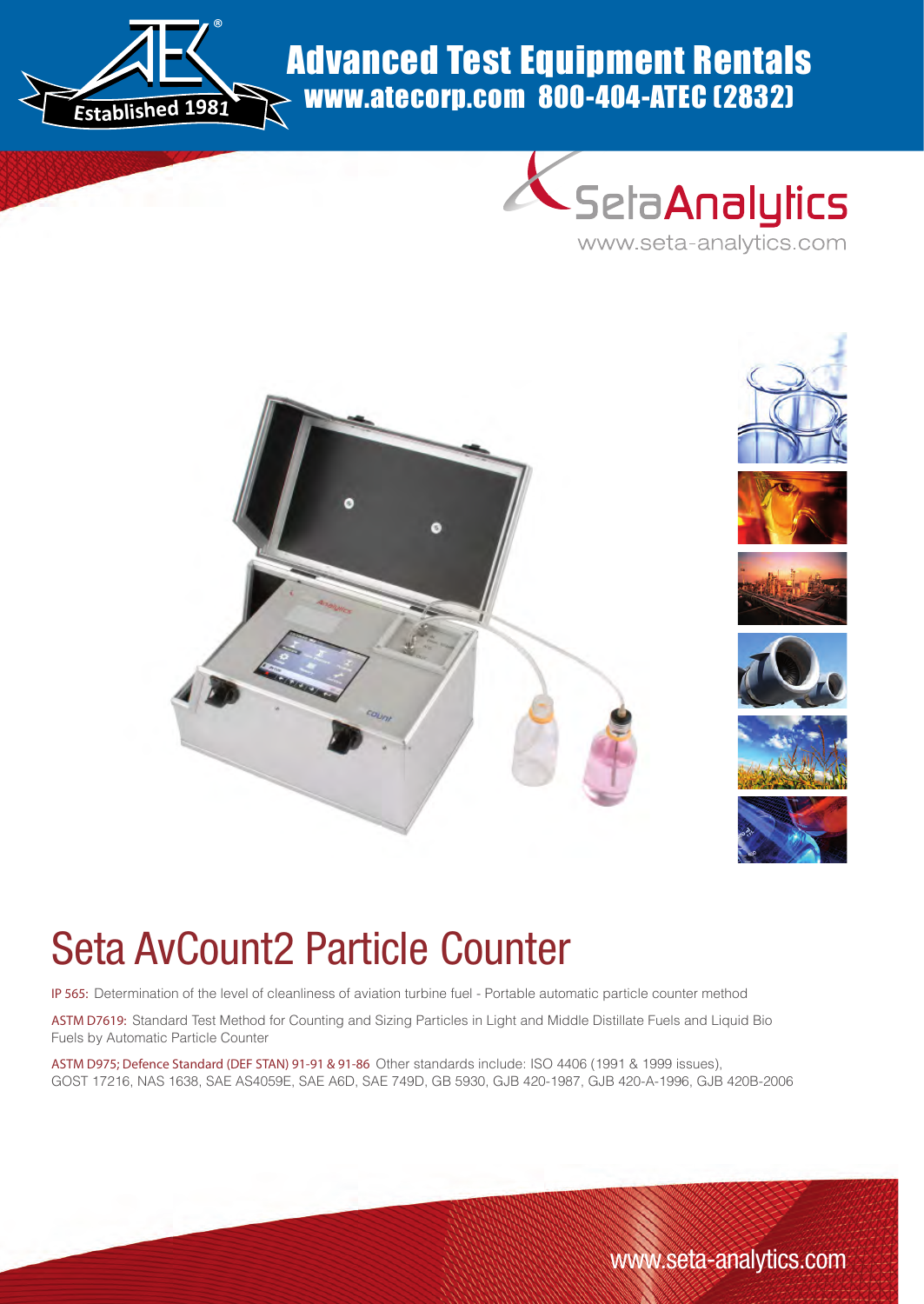

# Advanced Test Equipment Rentals www.atecorp.com 800-404-ATEC (2832)





# Seta AvCount2 Particle Counter

IP 565: Determination of the level of cleanliness of aviation turbine fuel - Portable automatic particle counter method

ASTM D7619: Standard Test Method for Counting and Sizing Particles in Light and Middle Distillate Fuels and Liquid Bio Fuels by Automatic Particle Counter

ASTM D975; Defence Standard (DEF STAN) 91-91 & 91-86 Other standards include: ISO 4406 (1991 & 1999 issues), GOST 17216, NAS 1638, SAE AS4059E, SAE A6D, SAE 749D, GB 5930, GJB 420-1987, GJB 420-A-1996, GJB 420B-2006

www.seta-analytics.com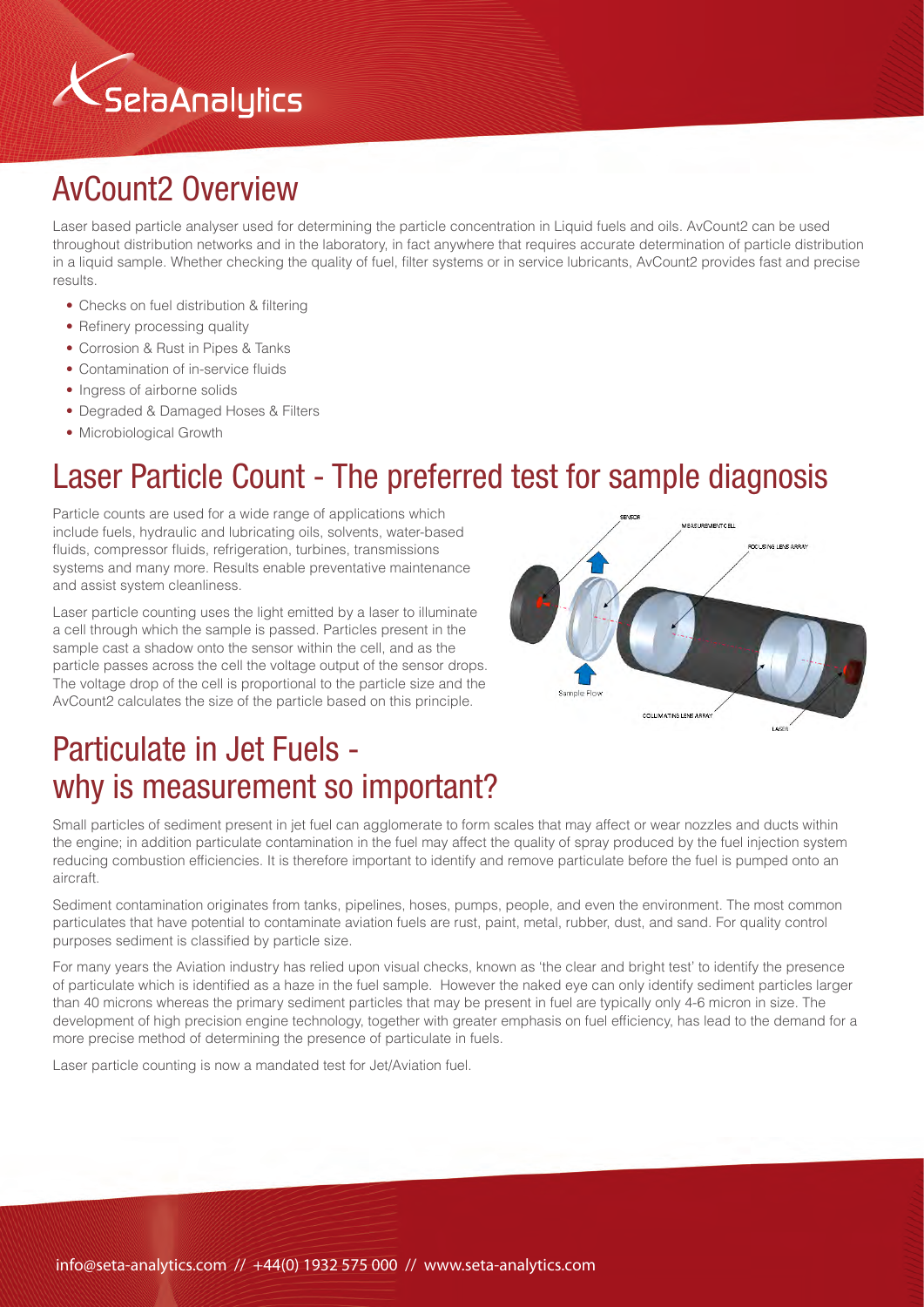

# AvCount2 Overview

Laser based particle analyser used for determining the particle concentration in Liquid fuels and oils. AvCount2 can be used throughout distribution networks and in the laboratory, in fact anywhere that requires accurate determination of particle distribution in a liquid sample. Whether checking the quality of fuel, filter systems or in service lubricants, AvCount2 provides fast and precise results.

- Checks on fuel distribution & filtering
- Refinery processing quality
- Corrosion & Rust in Pipes & Tanks
- Contamination of in-service fluids
- Ingress of airborne solids
- Degraded & Damaged Hoses & Filters
- Microbiological Growth

### Laser Particle Count - The preferred test for sample diagnosis

Particle counts are used for a wide range of applications which include fuels, hydraulic and lubricating oils, solvents, water-based fluids, compressor fluids, refrigeration, turbines, transmissions systems and many more. Results enable preventative maintenance and assist system cleanliness.

Laser particle counting uses the light emitted by a laser to illuminate a cell through which the sample is passed. Particles present in the sample cast a shadow onto the sensor within the cell, and as the particle passes across the cell the voltage output of the sensor drops. The voltage drop of the cell is proportional to the particle size and the AvCount2 calculates the size of the particle based on this principle.



# Particulate in Jet Fuels why is measurement so important?

Small particles of sediment present in jet fuel can agglomerate to form scales that may affect or wear nozzles and ducts within the engine; in addition particulate contamination in the fuel may affect the quality of spray produced by the fuel injection system reducing combustion efficiencies. It is therefore important to identify and remove particulate before the fuel is pumped onto an aircraft.

Sediment contamination originates from tanks, pipelines, hoses, pumps, people, and even the environment. The most common particulates that have potential to contaminate aviation fuels are rust, paint, metal, rubber, dust, and sand. For quality control purposes sediment is classified by particle size.

For many years the Aviation industry has relied upon visual checks, known as 'the clear and bright test' to identify the presence of particulate which is identified as a haze in the fuel sample. However the naked eye can only identify sediment particles larger than 40 microns whereas the primary sediment particles that may be present in fuel are typically only 4-6 micron in size. The development of high precision engine technology, together with greater emphasis on fuel efficiency, has lead to the demand for a more precise method of determining the presence of particulate in fuels.

Laser particle counting is now a mandated test for Jet/Aviation fuel.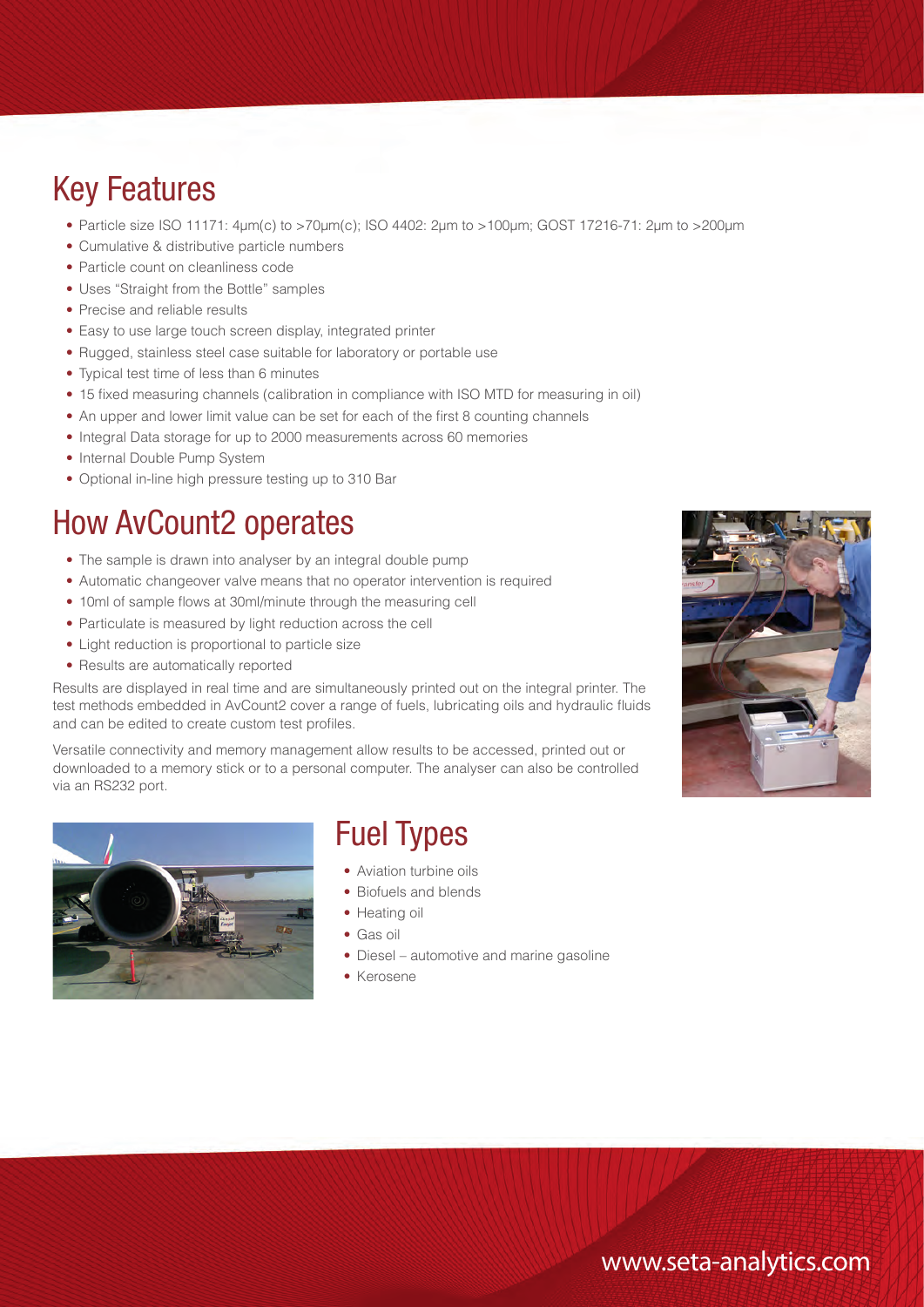### Key Features

- Particle size ISO 11171: 4μm(c) to >70μm(c); ISO 4402: 2μm to >100μm; GOST 17216-71: 2μm to >200μm
- Cumulative & distributive particle numbers
- Particle count on cleanliness code
- Uses "Straight from the Bottle" samples
- Precise and reliable results
- Easy to use large touch screen display, integrated printer
- Rugged, stainless steel case suitable for laboratory or portable use
- Typical test time of less than 6 minutes
- 15 fixed measuring channels (calibration in compliance with ISO MTD for measuring in oil)
- An upper and lower limit value can be set for each of the first 8 counting channels
- Integral Data storage for up to 2000 measurements across 60 memories
- Internal Double Pump System
- Optional in-line high pressure testing up to 310 Bar

#### How AvCount2 operates

- The sample is drawn into analyser by an integral double pump
- Automatic changeover valve means that no operator intervention is required
- 10ml of sample flows at 30ml/minute through the measuring cell
- Particulate is measured by light reduction across the cell
- Light reduction is proportional to particle size
- Results are automatically reported

Results are displayed in real time and are simultaneously printed out on the integral printer. The test methods embedded in AvCount2 cover a range of fuels, lubricating oils and hydraulic fluids and can be edited to create custom test profiles.

Versatile connectivity and memory management allow results to be accessed, printed out or downloaded to a memory stick or to a personal computer. The analyser can also be controlled via an RS232 port.



#### Fuel Types

- Aviation turbine oils
- Biofuels and blends
- Heating oil
- Gas oil
- Diesel automotive and marine gasoline
- Kerosene



#### www.seta-analytics.com